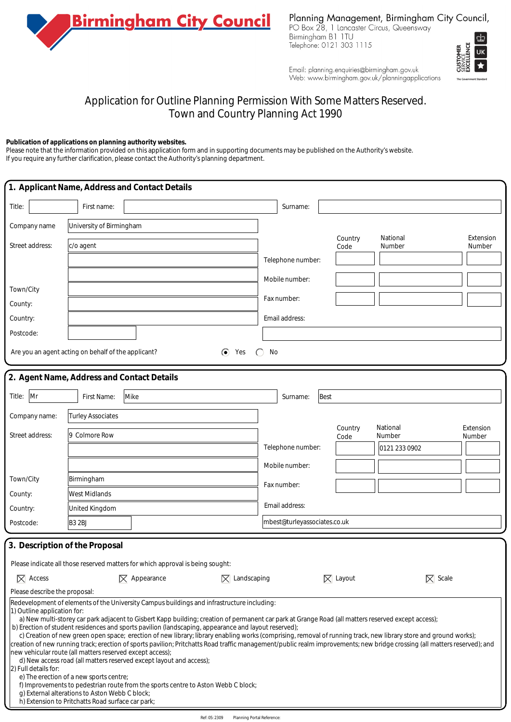

Planning Management, Birmingham City Council,

PO Box 28, 1 Lancaster Circus, Queensway Birmingham B1 1TU<br>Telephone: 0121 303 1115



Email: planning.enquiries@birmingham.gov.uk Web: www.birmingham.gov.uk/planningapplications

## Application for Outline Planning Permission With Some Matters Reserved. Town and Country Planning Act 1990

## **Publication of applications on planning authority websites.**

Please note that the information provided on this application form and in supporting documents may be published on the Authority's website. If you require any further clarification, please contact the Authority's planning department.

| 1. Applicant Name, Address and Contact Details                              |                                                                                                                                                                                                             |                                                                                                                                                                                                                                                                                                                                                                                                                                                                                                                                                                                                                                                                                                                                                                                                                                                                        |                                     |                              |                     |                    |                     |  |
|-----------------------------------------------------------------------------|-------------------------------------------------------------------------------------------------------------------------------------------------------------------------------------------------------------|------------------------------------------------------------------------------------------------------------------------------------------------------------------------------------------------------------------------------------------------------------------------------------------------------------------------------------------------------------------------------------------------------------------------------------------------------------------------------------------------------------------------------------------------------------------------------------------------------------------------------------------------------------------------------------------------------------------------------------------------------------------------------------------------------------------------------------------------------------------------|-------------------------------------|------------------------------|---------------------|--------------------|---------------------|--|
| Title:                                                                      | First name:                                                                                                                                                                                                 |                                                                                                                                                                                                                                                                                                                                                                                                                                                                                                                                                                                                                                                                                                                                                                                                                                                                        |                                     | Surname:                     |                     |                    |                     |  |
| Company name                                                                | University of Birmingham                                                                                                                                                                                    |                                                                                                                                                                                                                                                                                                                                                                                                                                                                                                                                                                                                                                                                                                                                                                                                                                                                        |                                     |                              |                     |                    |                     |  |
| Street address:                                                             | c/o agent                                                                                                                                                                                                   |                                                                                                                                                                                                                                                                                                                                                                                                                                                                                                                                                                                                                                                                                                                                                                                                                                                                        |                                     |                              | Country<br>Code     | National<br>Number | Extension<br>Number |  |
|                                                                             |                                                                                                                                                                                                             |                                                                                                                                                                                                                                                                                                                                                                                                                                                                                                                                                                                                                                                                                                                                                                                                                                                                        |                                     | Telephone number:            |                     |                    |                     |  |
|                                                                             |                                                                                                                                                                                                             |                                                                                                                                                                                                                                                                                                                                                                                                                                                                                                                                                                                                                                                                                                                                                                                                                                                                        |                                     | Mobile number:               |                     |                    |                     |  |
| Town/City                                                                   |                                                                                                                                                                                                             |                                                                                                                                                                                                                                                                                                                                                                                                                                                                                                                                                                                                                                                                                                                                                                                                                                                                        |                                     | Fax number:                  |                     |                    |                     |  |
| County:                                                                     |                                                                                                                                                                                                             |                                                                                                                                                                                                                                                                                                                                                                                                                                                                                                                                                                                                                                                                                                                                                                                                                                                                        |                                     |                              |                     |                    |                     |  |
| Country:                                                                    |                                                                                                                                                                                                             | Email address:                                                                                                                                                                                                                                                                                                                                                                                                                                                                                                                                                                                                                                                                                                                                                                                                                                                         |                                     |                              |                     |                    |                     |  |
| Postcode:                                                                   |                                                                                                                                                                                                             |                                                                                                                                                                                                                                                                                                                                                                                                                                                                                                                                                                                                                                                                                                                                                                                                                                                                        |                                     |                              |                     |                    |                     |  |
| Are you an agent acting on behalf of the applicant?<br>$\odot$<br>No<br>Yes |                                                                                                                                                                                                             |                                                                                                                                                                                                                                                                                                                                                                                                                                                                                                                                                                                                                                                                                                                                                                                                                                                                        |                                     |                              |                     |                    |                     |  |
| 2. Agent Name, Address and Contact Details                                  |                                                                                                                                                                                                             |                                                                                                                                                                                                                                                                                                                                                                                                                                                                                                                                                                                                                                                                                                                                                                                                                                                                        |                                     |                              |                     |                    |                     |  |
| Mr<br>Mike<br>Best<br>Title:<br>First Name:<br>Surname:                     |                                                                                                                                                                                                             |                                                                                                                                                                                                                                                                                                                                                                                                                                                                                                                                                                                                                                                                                                                                                                                                                                                                        |                                     |                              |                     |                    |                     |  |
|                                                                             |                                                                                                                                                                                                             |                                                                                                                                                                                                                                                                                                                                                                                                                                                                                                                                                                                                                                                                                                                                                                                                                                                                        |                                     |                              |                     |                    |                     |  |
| Company name:                                                               | Turley Associates                                                                                                                                                                                           |                                                                                                                                                                                                                                                                                                                                                                                                                                                                                                                                                                                                                                                                                                                                                                                                                                                                        |                                     |                              | Country             | National           | Extension           |  |
| Street address:                                                             | 9 Colmore Row                                                                                                                                                                                               |                                                                                                                                                                                                                                                                                                                                                                                                                                                                                                                                                                                                                                                                                                                                                                                                                                                                        |                                     |                              | Code                | Number             | Number              |  |
|                                                                             |                                                                                                                                                                                                             |                                                                                                                                                                                                                                                                                                                                                                                                                                                                                                                                                                                                                                                                                                                                                                                                                                                                        |                                     | Telephone number:            |                     | 0121 233 0902      |                     |  |
|                                                                             |                                                                                                                                                                                                             |                                                                                                                                                                                                                                                                                                                                                                                                                                                                                                                                                                                                                                                                                                                                                                                                                                                                        |                                     | Mobile number:               |                     |                    |                     |  |
| Town/City                                                                   | Birmingham                                                                                                                                                                                                  |                                                                                                                                                                                                                                                                                                                                                                                                                                                                                                                                                                                                                                                                                                                                                                                                                                                                        |                                     | Fax number:                  |                     |                    |                     |  |
| County:                                                                     | West Midlands                                                                                                                                                                                               |                                                                                                                                                                                                                                                                                                                                                                                                                                                                                                                                                                                                                                                                                                                                                                                                                                                                        |                                     |                              |                     |                    |                     |  |
| Country:                                                                    | United Kingdom                                                                                                                                                                                              |                                                                                                                                                                                                                                                                                                                                                                                                                                                                                                                                                                                                                                                                                                                                                                                                                                                                        |                                     | Email address:               |                     |                    |                     |  |
| Postcode:                                                                   | <b>B3 2BJ</b>                                                                                                                                                                                               |                                                                                                                                                                                                                                                                                                                                                                                                                                                                                                                                                                                                                                                                                                                                                                                                                                                                        |                                     | mbest@turleyassociates.co.uk |                     |                    |                     |  |
| 3. Description of the Proposal                                              |                                                                                                                                                                                                             |                                                                                                                                                                                                                                                                                                                                                                                                                                                                                                                                                                                                                                                                                                                                                                                                                                                                        |                                     |                              |                     |                    |                     |  |
|                                                                             |                                                                                                                                                                                                             | Please indicate all those reserved matters for which approval is being sought:                                                                                                                                                                                                                                                                                                                                                                                                                                                                                                                                                                                                                                                                                                                                                                                         |                                     |                              |                     |                    |                     |  |
| $\overline{\times}$ Access                                                  |                                                                                                                                                                                                             | $\mathbb{R}$ Appearance                                                                                                                                                                                                                                                                                                                                                                                                                                                                                                                                                                                                                                                                                                                                                                                                                                                | $\mathbb{\overline{X}}$ Landscaping |                              | $\mathbb{R}$ Layout | $\nabla$ Scale     |                     |  |
| Please describe the proposal:                                               |                                                                                                                                                                                                             |                                                                                                                                                                                                                                                                                                                                                                                                                                                                                                                                                                                                                                                                                                                                                                                                                                                                        |                                     |                              |                     |                    |                     |  |
| 1) Outline application for:<br>2) Full details for:                         | new vehicular route (all matters reserved except access);<br>e) The erection of a new sports centre;<br>g) External alterations to Aston Webb C block;<br>h) Extension to Pritchatts Road surface car park; | Redevelopment of elements of the University Campus buildings and infrastructure including:<br>a) New multi-storey car park adjacent to Gisbert Kapp building; creation of permanent car park at Grange Road (all matters reserved except access);<br>b) Erection of student residences and sports pavilion (landscaping, appearance and layout reserved);<br>c) Creation of new green open space; erection of new library; library enabling works (comprising, removal of running track, new library store and ground works);<br>creation of new running track; erection of sports pavilion; Pritchatts Road traffic management/public realm improvements; new bridge crossing (all matters reserved); and<br>d) New access road (all matters reserved except layout and access);<br>f) Improvements to pedestrian route from the sports centre to Aston Webb C block; |                                     |                              |                     |                    |                     |  |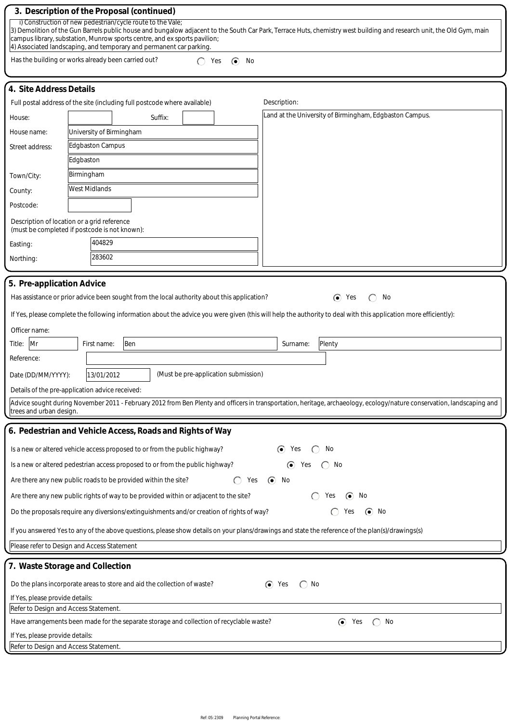|                                                                                                                                                                                                                                                                                                                                                                                         | 3. Description of the Proposal (continued)                                                                                                                             |  |  |  |  |  |  |  |
|-----------------------------------------------------------------------------------------------------------------------------------------------------------------------------------------------------------------------------------------------------------------------------------------------------------------------------------------------------------------------------------------|------------------------------------------------------------------------------------------------------------------------------------------------------------------------|--|--|--|--|--|--|--|
| i) Construction of new pedestrian/cycle route to the Vale;<br>3) Demolition of the Gun Barrels public house and bungalow adjacent to the South Car Park, Terrace Huts, chemistry west building and research unit, the Old Gym, main<br>campus library, substation, Munrow sports centre, and ex sports pavilion;<br>4) Associated landscaping, and temporary and permanent car parking. |                                                                                                                                                                        |  |  |  |  |  |  |  |
| Has the building or works already been carried out?<br>Yes<br>$\bullet$<br>No                                                                                                                                                                                                                                                                                                           |                                                                                                                                                                        |  |  |  |  |  |  |  |
|                                                                                                                                                                                                                                                                                                                                                                                         |                                                                                                                                                                        |  |  |  |  |  |  |  |
| 4. Site Address Details                                                                                                                                                                                                                                                                                                                                                                 |                                                                                                                                                                        |  |  |  |  |  |  |  |
|                                                                                                                                                                                                                                                                                                                                                                                         | Description:<br>Full postal address of the site (including full postcode where available)                                                                              |  |  |  |  |  |  |  |
| House:                                                                                                                                                                                                                                                                                                                                                                                  | Land at the University of Birmingham, Edgbaston Campus.<br>Suffix:                                                                                                     |  |  |  |  |  |  |  |
| House name:                                                                                                                                                                                                                                                                                                                                                                             | University of Birmingham                                                                                                                                               |  |  |  |  |  |  |  |
| Street address:                                                                                                                                                                                                                                                                                                                                                                         | Edgbaston Campus                                                                                                                                                       |  |  |  |  |  |  |  |
|                                                                                                                                                                                                                                                                                                                                                                                         | Edgbaston                                                                                                                                                              |  |  |  |  |  |  |  |
| Town/City:                                                                                                                                                                                                                                                                                                                                                                              | Birmingham                                                                                                                                                             |  |  |  |  |  |  |  |
| County:                                                                                                                                                                                                                                                                                                                                                                                 | West Midlands                                                                                                                                                          |  |  |  |  |  |  |  |
| Postcode:                                                                                                                                                                                                                                                                                                                                                                               |                                                                                                                                                                        |  |  |  |  |  |  |  |
| Description of location or a grid reference<br>(must be completed if postcode is not known):                                                                                                                                                                                                                                                                                            |                                                                                                                                                                        |  |  |  |  |  |  |  |
| Easting:                                                                                                                                                                                                                                                                                                                                                                                | 404829                                                                                                                                                                 |  |  |  |  |  |  |  |
| Northing:                                                                                                                                                                                                                                                                                                                                                                               | 283602                                                                                                                                                                 |  |  |  |  |  |  |  |
|                                                                                                                                                                                                                                                                                                                                                                                         |                                                                                                                                                                        |  |  |  |  |  |  |  |
| 5. Pre-application Advice                                                                                                                                                                                                                                                                                                                                                               |                                                                                                                                                                        |  |  |  |  |  |  |  |
|                                                                                                                                                                                                                                                                                                                                                                                         | $\odot$<br>Has assistance or prior advice been sought from the local authority about this application?<br>Yes<br>No                                                    |  |  |  |  |  |  |  |
| If Yes, please complete the following information about the advice you were given (this will help the authority to deal with this application more efficiently):                                                                                                                                                                                                                        |                                                                                                                                                                        |  |  |  |  |  |  |  |
| Officer name:                                                                                                                                                                                                                                                                                                                                                                           |                                                                                                                                                                        |  |  |  |  |  |  |  |
| Mr<br>First name:<br>Ben<br>Plenty<br>Title:<br>Surname:                                                                                                                                                                                                                                                                                                                                |                                                                                                                                                                        |  |  |  |  |  |  |  |
| Reference:                                                                                                                                                                                                                                                                                                                                                                              |                                                                                                                                                                        |  |  |  |  |  |  |  |
| (Must be pre-application submission)<br>13/01/2012<br>Date (DD/MM/YYYY):                                                                                                                                                                                                                                                                                                                |                                                                                                                                                                        |  |  |  |  |  |  |  |
|                                                                                                                                                                                                                                                                                                                                                                                         | Details of the pre-application advice received:                                                                                                                        |  |  |  |  |  |  |  |
| trees and urban design.                                                                                                                                                                                                                                                                                                                                                                 | Advice sought during November 2011 - February 2012 from Ben Plenty and officers in transportation, heritage, archaeology, ecology/nature conservation, landscaping and |  |  |  |  |  |  |  |
| 6. Pedestrian and Vehicle Access, Roads and Rights of Way                                                                                                                                                                                                                                                                                                                               |                                                                                                                                                                        |  |  |  |  |  |  |  |
|                                                                                                                                                                                                                                                                                                                                                                                         |                                                                                                                                                                        |  |  |  |  |  |  |  |
|                                                                                                                                                                                                                                                                                                                                                                                         | Is a new or altered vehicle access proposed to or from the public highway?<br>$\left( \bullet \right)$<br>No<br>Yes                                                    |  |  |  |  |  |  |  |
|                                                                                                                                                                                                                                                                                                                                                                                         | Is a new or altered pedestrian access proposed to or from the public highway?<br>⊙<br>Yes<br>No                                                                        |  |  |  |  |  |  |  |
| Are there any new public roads to be provided within the site?<br>$\odot$<br>Yes<br>No                                                                                                                                                                                                                                                                                                  |                                                                                                                                                                        |  |  |  |  |  |  |  |
|                                                                                                                                                                                                                                                                                                                                                                                         | Are there any new public rights of way to be provided within or adjacent to the site?<br>Yes<br>$\bullet$<br>No                                                        |  |  |  |  |  |  |  |
|                                                                                                                                                                                                                                                                                                                                                                                         | Do the proposals require any diversions/extinguishments and/or creation of rights of way?<br>No<br>$\left( \bullet \right)$<br>Yes                                     |  |  |  |  |  |  |  |
|                                                                                                                                                                                                                                                                                                                                                                                         | If you answered Yes to any of the above questions, please show details on your plans/drawings and state the reference of the plan(s)/drawings(s)                       |  |  |  |  |  |  |  |
|                                                                                                                                                                                                                                                                                                                                                                                         | Please refer to Design and Access Statement                                                                                                                            |  |  |  |  |  |  |  |
|                                                                                                                                                                                                                                                                                                                                                                                         | 7. Waste Storage and Collection                                                                                                                                        |  |  |  |  |  |  |  |
|                                                                                                                                                                                                                                                                                                                                                                                         | $\odot$<br>No<br>Do the plans incorporate areas to store and aid the collection of waste?<br>Yes                                                                       |  |  |  |  |  |  |  |
|                                                                                                                                                                                                                                                                                                                                                                                         | If Yes, please provide details:                                                                                                                                        |  |  |  |  |  |  |  |
| Refer to Design and Access Statement.<br>$\odot$<br>Have arrangements been made for the separate storage and collection of recyclable waste?<br>Yes<br>∩<br>No                                                                                                                                                                                                                          |                                                                                                                                                                        |  |  |  |  |  |  |  |
| If Yes, please provide details:                                                                                                                                                                                                                                                                                                                                                         |                                                                                                                                                                        |  |  |  |  |  |  |  |
| Refer to Design and Access Statement.                                                                                                                                                                                                                                                                                                                                                   |                                                                                                                                                                        |  |  |  |  |  |  |  |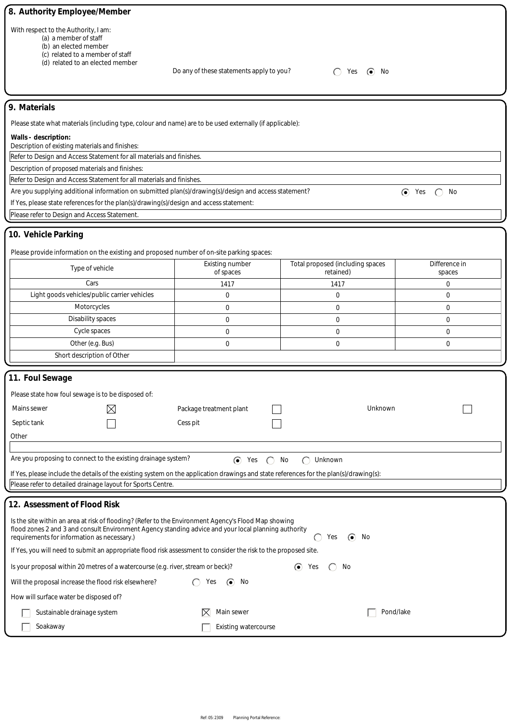| 8. Authority Employee/Member                                                                                                                                                        |                                                                                                                                                                                                                                   |                                               |               |  |  |  |  |  |
|-------------------------------------------------------------------------------------------------------------------------------------------------------------------------------------|-----------------------------------------------------------------------------------------------------------------------------------------------------------------------------------------------------------------------------------|-----------------------------------------------|---------------|--|--|--|--|--|
| With respect to the Authority, I am:<br>(a) a member of staff<br>(b) an elected member<br>(c) related to a member of staff<br>(d) related to an elected member                      | Do any of these statements apply to you?                                                                                                                                                                                          | Yes $\odot$ No                                |               |  |  |  |  |  |
| 9. Materials                                                                                                                                                                        |                                                                                                                                                                                                                                   |                                               |               |  |  |  |  |  |
|                                                                                                                                                                                     |                                                                                                                                                                                                                                   |                                               |               |  |  |  |  |  |
| Please state what materials (including type, colour and name) are to be used externally (if applicable):<br>Walls - description:<br>Description of existing materials and finishes: |                                                                                                                                                                                                                                   |                                               |               |  |  |  |  |  |
| Refer to Design and Access Statement for all materials and finishes.                                                                                                                |                                                                                                                                                                                                                                   |                                               |               |  |  |  |  |  |
| Description of proposed materials and finishes:                                                                                                                                     |                                                                                                                                                                                                                                   |                                               |               |  |  |  |  |  |
| Refer to Design and Access Statement for all materials and finishes.                                                                                                                |                                                                                                                                                                                                                                   |                                               |               |  |  |  |  |  |
| Are you supplying additional information on submitted plan(s)/drawing(s)/design and access statement?<br>$\odot$ Yes<br>No                                                          |                                                                                                                                                                                                                                   |                                               |               |  |  |  |  |  |
| If Yes, please state references for the plan(s)/drawing(s)/design and access statement:                                                                                             |                                                                                                                                                                                                                                   |                                               |               |  |  |  |  |  |
| Please refer to Design and Access Statement.                                                                                                                                        |                                                                                                                                                                                                                                   |                                               |               |  |  |  |  |  |
| 10. Vehicle Parking                                                                                                                                                                 |                                                                                                                                                                                                                                   |                                               |               |  |  |  |  |  |
| Please provide information on the existing and proposed number of on-site parking spaces:                                                                                           |                                                                                                                                                                                                                                   |                                               | Difference in |  |  |  |  |  |
| Type of vehicle                                                                                                                                                                     | <b>Existing number</b><br>of spaces                                                                                                                                                                                               | Total proposed (including spaces<br>retained) | spaces        |  |  |  |  |  |
| Cars                                                                                                                                                                                | 1417                                                                                                                                                                                                                              | 1417                                          | 0             |  |  |  |  |  |
| Light goods vehicles/public carrier vehicles                                                                                                                                        | 0                                                                                                                                                                                                                                 | 0                                             | 0             |  |  |  |  |  |
| Motorcycles                                                                                                                                                                         | $\mathbf 0$                                                                                                                                                                                                                       | $\mathbf 0$                                   | 0             |  |  |  |  |  |
| Disability spaces                                                                                                                                                                   | 0                                                                                                                                                                                                                                 | 0                                             | 0             |  |  |  |  |  |
| Cycle spaces                                                                                                                                                                        | 0                                                                                                                                                                                                                                 | 0                                             | 0             |  |  |  |  |  |
| Other (e.g. Bus)                                                                                                                                                                    | 0                                                                                                                                                                                                                                 | 0                                             | 0             |  |  |  |  |  |
| Short description of Other                                                                                                                                                          |                                                                                                                                                                                                                                   |                                               |               |  |  |  |  |  |
|                                                                                                                                                                                     |                                                                                                                                                                                                                                   |                                               |               |  |  |  |  |  |
| 11. Foul Sewage                                                                                                                                                                     |                                                                                                                                                                                                                                   |                                               |               |  |  |  |  |  |
| Please state how foul sewage is to be disposed of:                                                                                                                                  |                                                                                                                                                                                                                                   |                                               |               |  |  |  |  |  |
| Mains sewer<br>⋉                                                                                                                                                                    | Package treatment plant                                                                                                                                                                                                           | Unknown                                       |               |  |  |  |  |  |
|                                                                                                                                                                                     |                                                                                                                                                                                                                                   |                                               |               |  |  |  |  |  |
| Septic tank                                                                                                                                                                         | Cess pit                                                                                                                                                                                                                          |                                               |               |  |  |  |  |  |
| Other                                                                                                                                                                               |                                                                                                                                                                                                                                   |                                               |               |  |  |  |  |  |
| Are you proposing to connect to the existing drainage system?                                                                                                                       |                                                                                                                                                                                                                                   |                                               |               |  |  |  |  |  |
|                                                                                                                                                                                     | $\odot$ Yes<br>$\left(\begin{array}{c} \end{array}\right)$                                                                                                                                                                        | No<br>Unknown                                 |               |  |  |  |  |  |
| If Yes, please include the details of the existing system on the application drawings and state references for the plan(s)/drawing(s):                                              |                                                                                                                                                                                                                                   |                                               |               |  |  |  |  |  |
| Please refer to detailed drainage layout for Sports Centre.                                                                                                                         |                                                                                                                                                                                                                                   |                                               |               |  |  |  |  |  |
| 12. Assessment of Flood Risk                                                                                                                                                        |                                                                                                                                                                                                                                   |                                               |               |  |  |  |  |  |
|                                                                                                                                                                                     |                                                                                                                                                                                                                                   |                                               |               |  |  |  |  |  |
| requirements for information as necessary.)                                                                                                                                         | Is the site within an area at risk of flooding? (Refer to the Environment Agency's Flood Map showing<br>flood zones 2 and 3 and consult Environment Agency standing advice and your local planning authority<br>$\odot$ No<br>Yes |                                               |               |  |  |  |  |  |
| If Yes, you will need to submit an appropriate flood risk assessment to consider the risk to the proposed site.                                                                     |                                                                                                                                                                                                                                   |                                               |               |  |  |  |  |  |
| Is your proposal within 20 metres of a watercourse (e.g. river, stream or beck)?                                                                                                    |                                                                                                                                                                                                                                   | $\odot$ Yes<br>No                             |               |  |  |  |  |  |
| Will the proposal increase the flood risk elsewhere?                                                                                                                                | Yes<br>$\left( \bullet \right)$<br>No                                                                                                                                                                                             |                                               |               |  |  |  |  |  |
| How will surface water be disposed of?                                                                                                                                              |                                                                                                                                                                                                                                   |                                               |               |  |  |  |  |  |
| Pond/lake<br>Main sewer<br>Sustainable drainage system<br>IХI                                                                                                                       |                                                                                                                                                                                                                                   |                                               |               |  |  |  |  |  |
| Soakaway<br><b>Existing watercourse</b>                                                                                                                                             |                                                                                                                                                                                                                                   |                                               |               |  |  |  |  |  |
|                                                                                                                                                                                     |                                                                                                                                                                                                                                   |                                               |               |  |  |  |  |  |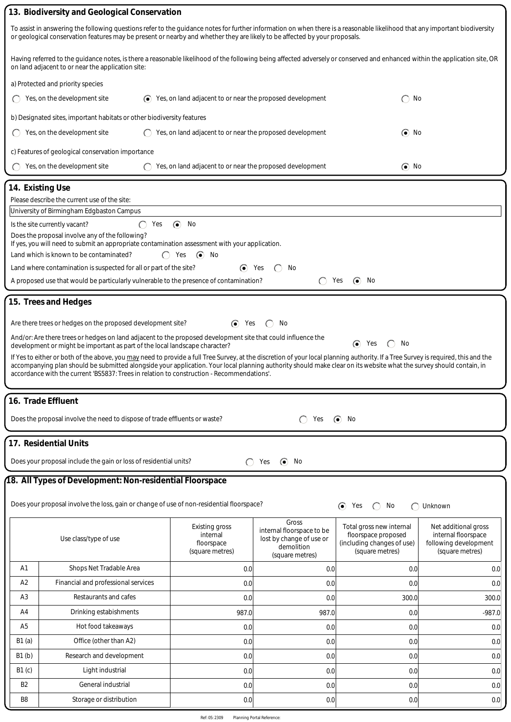|                                                                                                                                                                                                                                                                                                           | 13. Biodiversity and Geological Conservation                                                                                                                                                                                                                     |                                                                   |                                    |                                                   |                                              |  |  |  |  |  |
|-----------------------------------------------------------------------------------------------------------------------------------------------------------------------------------------------------------------------------------------------------------------------------------------------------------|------------------------------------------------------------------------------------------------------------------------------------------------------------------------------------------------------------------------------------------------------------------|-------------------------------------------------------------------|------------------------------------|---------------------------------------------------|----------------------------------------------|--|--|--|--|--|
| To assist in answering the following questions refer to the guidance notes for further information on when there is a reasonable likelihood that any important biodiversity<br>or geological conservation features may be present or nearby and whether they are likely to be affected by your proposals. |                                                                                                                                                                                                                                                                  |                                                                   |                                    |                                                   |                                              |  |  |  |  |  |
| Having referred to the guidance notes, is there a reasonable likelihood of the following being affected adversely or conserved and enhanced within the application site, OR<br>on land adjacent to or near the application site:                                                                          |                                                                                                                                                                                                                                                                  |                                                                   |                                    |                                                   |                                              |  |  |  |  |  |
| a) Protected and priority species                                                                                                                                                                                                                                                                         |                                                                                                                                                                                                                                                                  |                                                                   |                                    |                                                   |                                              |  |  |  |  |  |
|                                                                                                                                                                                                                                                                                                           | Yes, on the development site                                                                                                                                                                                                                                     | $\odot$ Yes, on land adjacent to or near the proposed development |                                    | No                                                |                                              |  |  |  |  |  |
|                                                                                                                                                                                                                                                                                                           | b) Designated sites, important habitats or other biodiversity features                                                                                                                                                                                           |                                                                   |                                    |                                                   |                                              |  |  |  |  |  |
|                                                                                                                                                                                                                                                                                                           | Yes, on the development site                                                                                                                                                                                                                                     | Yes, on land adjacent to or near the proposed development         |                                    | $\odot$ No                                        |                                              |  |  |  |  |  |
| c) Features of geological conservation importance                                                                                                                                                                                                                                                         |                                                                                                                                                                                                                                                                  |                                                                   |                                    |                                                   |                                              |  |  |  |  |  |
|                                                                                                                                                                                                                                                                                                           | Yes, on the development site                                                                                                                                                                                                                                     | Yes, on land adjacent to or near the proposed development         |                                    | $\odot$ No                                        |                                              |  |  |  |  |  |
|                                                                                                                                                                                                                                                                                                           | 14. Existing Use                                                                                                                                                                                                                                                 |                                                                   |                                    |                                                   |                                              |  |  |  |  |  |
| Please describe the current use of the site:                                                                                                                                                                                                                                                              |                                                                                                                                                                                                                                                                  |                                                                   |                                    |                                                   |                                              |  |  |  |  |  |
| University of Birmingham Edgbaston Campus                                                                                                                                                                                                                                                                 |                                                                                                                                                                                                                                                                  |                                                                   |                                    |                                                   |                                              |  |  |  |  |  |
| Is the site currently vacant?<br>$\odot$<br>No<br>Yes<br>Does the proposal involve any of the following?                                                                                                                                                                                                  |                                                                                                                                                                                                                                                                  |                                                                   |                                    |                                                   |                                              |  |  |  |  |  |
| If yes, you will need to submit an appropriate contamination assessment with your application.                                                                                                                                                                                                            |                                                                                                                                                                                                                                                                  |                                                                   |                                    |                                                   |                                              |  |  |  |  |  |
| Land which is known to be contaminated?<br>$\odot$<br>No<br>Yes                                                                                                                                                                                                                                           |                                                                                                                                                                                                                                                                  |                                                                   |                                    |                                                   |                                              |  |  |  |  |  |
| Land where contamination is suspected for all or part of the site?<br>$\odot$<br>Yes<br>No<br>A proposed use that would be particularly vulnerable to the presence of contamination?<br>Yes<br>No<br>$\left( \bullet \right)$                                                                             |                                                                                                                                                                                                                                                                  |                                                                   |                                    |                                                   |                                              |  |  |  |  |  |
|                                                                                                                                                                                                                                                                                                           |                                                                                                                                                                                                                                                                  |                                                                   |                                    |                                                   |                                              |  |  |  |  |  |
|                                                                                                                                                                                                                                                                                                           | 15. Trees and Hedges                                                                                                                                                                                                                                             |                                                                   |                                    |                                                   |                                              |  |  |  |  |  |
|                                                                                                                                                                                                                                                                                                           | Are there trees or hedges on the proposed development site?                                                                                                                                                                                                      | $\odot$<br>Yes                                                    | No                                 |                                                   |                                              |  |  |  |  |  |
|                                                                                                                                                                                                                                                                                                           | And/or: Are there trees or hedges on land adjacent to the proposed development site that could influence the                                                                                                                                                     |                                                                   |                                    | $\odot$<br>No<br>Yes                              |                                              |  |  |  |  |  |
|                                                                                                                                                                                                                                                                                                           | development or might be important as part of the local landscape character?<br>If Yes to either or both of the above, you may need to provide a full Tree Survey, at the discretion of your local planning authority. If a Tree Survey is required, this and the |                                                                   |                                    |                                                   |                                              |  |  |  |  |  |
|                                                                                                                                                                                                                                                                                                           | accompanying plan should be submitted alongside your application. Your local planning authority should make clear on its website what the survey should contain, in                                                                                              |                                                                   |                                    |                                                   |                                              |  |  |  |  |  |
|                                                                                                                                                                                                                                                                                                           | accordance with the current 'BS5837: Trees in relation to construction - Recommendations'.                                                                                                                                                                       |                                                                   |                                    |                                                   |                                              |  |  |  |  |  |
|                                                                                                                                                                                                                                                                                                           | 16. Trade Effluent                                                                                                                                                                                                                                               |                                                                   |                                    |                                                   |                                              |  |  |  |  |  |
|                                                                                                                                                                                                                                                                                                           | Does the proposal involve the need to dispose of trade effluents or waste?                                                                                                                                                                                       |                                                                   | Yes                                | No<br>$\odot$                                     |                                              |  |  |  |  |  |
|                                                                                                                                                                                                                                                                                                           |                                                                                                                                                                                                                                                                  |                                                                   |                                    |                                                   |                                              |  |  |  |  |  |
|                                                                                                                                                                                                                                                                                                           | 17. Residential Units                                                                                                                                                                                                                                            |                                                                   |                                    |                                                   |                                              |  |  |  |  |  |
|                                                                                                                                                                                                                                                                                                           | Does your proposal include the gain or loss of residential units?                                                                                                                                                                                                |                                                                   | $\odot$<br>No<br>Yes               |                                                   |                                              |  |  |  |  |  |
|                                                                                                                                                                                                                                                                                                           | 18. All Types of Development: Non-residential Floorspace                                                                                                                                                                                                         |                                                                   |                                    |                                                   |                                              |  |  |  |  |  |
|                                                                                                                                                                                                                                                                                                           |                                                                                                                                                                                                                                                                  |                                                                   |                                    |                                                   |                                              |  |  |  |  |  |
|                                                                                                                                                                                                                                                                                                           | Does your proposal involve the loss, gain or change of use of non-residential floorspace?                                                                                                                                                                        |                                                                   |                                    | ⊙<br>Yes<br>No<br>⊆                               | Unknown                                      |  |  |  |  |  |
|                                                                                                                                                                                                                                                                                                           |                                                                                                                                                                                                                                                                  | Existing gross                                                    | Gross<br>internal floorspace to be | Total gross new internal                          | Net additional gross                         |  |  |  |  |  |
|                                                                                                                                                                                                                                                                                                           | Use class/type of use                                                                                                                                                                                                                                            | internal<br>floorspace                                            | lost by change of use or           | floorspace proposed<br>(including changes of use) | internal floorspace<br>following development |  |  |  |  |  |
|                                                                                                                                                                                                                                                                                                           |                                                                                                                                                                                                                                                                  | (square metres)                                                   | demolition<br>(square metres)      | (square metres)                                   | (square metres)                              |  |  |  |  |  |
| A1                                                                                                                                                                                                                                                                                                        | Shops Net Tradable Area                                                                                                                                                                                                                                          | 0.0                                                               | 0.0                                | 0.0                                               | 0.0                                          |  |  |  |  |  |
| A2                                                                                                                                                                                                                                                                                                        | Financial and professional services                                                                                                                                                                                                                              | 0.0                                                               | 0.0                                | 0.0                                               | 0.0                                          |  |  |  |  |  |
| A3                                                                                                                                                                                                                                                                                                        | Restaurants and cafes                                                                                                                                                                                                                                            | 0.0                                                               | 0.0                                | 300.0                                             | 300.0                                        |  |  |  |  |  |
| A <sub>4</sub>                                                                                                                                                                                                                                                                                            | Drinking estabishments                                                                                                                                                                                                                                           | 987.0                                                             | 987.0                              | 0.0                                               | $-987.0$                                     |  |  |  |  |  |
| A <sub>5</sub>                                                                                                                                                                                                                                                                                            | Hot food takeaways                                                                                                                                                                                                                                               | 0.0                                                               | 0.0                                | 0.0                                               | 0.0                                          |  |  |  |  |  |
| B1(a)                                                                                                                                                                                                                                                                                                     | Office (other than A2)                                                                                                                                                                                                                                           | 0.0                                                               | 0.0                                | 0.0                                               | 0.0                                          |  |  |  |  |  |
| B1(b)                                                                                                                                                                                                                                                                                                     | Research and development                                                                                                                                                                                                                                         | 0.0                                                               | 0.0                                | 0.0                                               | 0.0                                          |  |  |  |  |  |
| B1(c)                                                                                                                                                                                                                                                                                                     | Light industrial<br>0.0<br>0.0<br>0.0<br>0.0                                                                                                                                                                                                                     |                                                                   |                                    |                                                   |                                              |  |  |  |  |  |
| B2                                                                                                                                                                                                                                                                                                        | General industrial<br>0.0<br>0.0<br>0.0<br>0.0                                                                                                                                                                                                                   |                                                                   |                                    |                                                   |                                              |  |  |  |  |  |
| B <sub>8</sub>                                                                                                                                                                                                                                                                                            | Storage or distribution<br>0.0<br>0.0<br>0.0<br>0.0                                                                                                                                                                                                              |                                                                   |                                    |                                                   |                                              |  |  |  |  |  |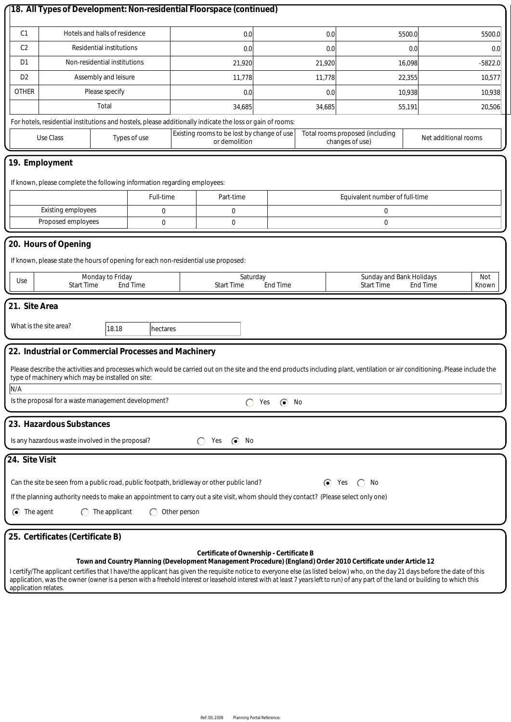|                                                                                                                                                                                                                                                                                                                                                                                                                                               | 18. All Types of Development: Non-residential Floorspace (continued)                                                                                                                                                              |               |           |                                            |               |                                          |                                |                                                                                                                |                      |        |               |
|-----------------------------------------------------------------------------------------------------------------------------------------------------------------------------------------------------------------------------------------------------------------------------------------------------------------------------------------------------------------------------------------------------------------------------------------------|-----------------------------------------------------------------------------------------------------------------------------------------------------------------------------------------------------------------------------------|---------------|-----------|--------------------------------------------|---------------|------------------------------------------|--------------------------------|----------------------------------------------------------------------------------------------------------------|----------------------|--------|---------------|
| C <sub>1</sub><br>Hotels and halls of residence                                                                                                                                                                                                                                                                                                                                                                                               |                                                                                                                                                                                                                                   |               |           | 0.0<br>0.0                                 |               | 5500.0                                   |                                |                                                                                                                |                      |        |               |
| C <sub>2</sub>                                                                                                                                                                                                                                                                                                                                                                                                                                | Residential institutions                                                                                                                                                                                                          |               |           |                                            | 0.0           |                                          | 0.0                            |                                                                                                                | 0.0                  |        | 5500.0<br>0.0 |
| D1                                                                                                                                                                                                                                                                                                                                                                                                                                            | Non-residential institutions                                                                                                                                                                                                      |               |           |                                            |               |                                          |                                |                                                                                                                |                      |        |               |
| D <sub>2</sub>                                                                                                                                                                                                                                                                                                                                                                                                                                | Assembly and leisure                                                                                                                                                                                                              |               |           |                                            | 21,920        |                                          | 21,920                         |                                                                                                                | 16,098               |        | $-5822.0$     |
| <b>OTHER</b>                                                                                                                                                                                                                                                                                                                                                                                                                                  | Please specify                                                                                                                                                                                                                    |               |           |                                            | 11,778        |                                          | 11,778                         | 22,355                                                                                                         |                      |        | 10,577        |
|                                                                                                                                                                                                                                                                                                                                                                                                                                               | Total                                                                                                                                                                                                                             |               |           | 0.0                                        | 0.0           |                                          | 10,938                         |                                                                                                                |                      | 10,938 |               |
| For hotels, residential institutions and hostels, please additionally indicate the loss or gain of rooms:                                                                                                                                                                                                                                                                                                                                     |                                                                                                                                                                                                                                   |               |           |                                            | 34,685        |                                          | 34,685                         |                                                                                                                | 55,191               |        | 20,506        |
|                                                                                                                                                                                                                                                                                                                                                                                                                                               |                                                                                                                                                                                                                                   |               |           | Existing rooms to be lost by change of use |               |                                          |                                | Total rooms proposed (including                                                                                | Net additional rooms |        |               |
|                                                                                                                                                                                                                                                                                                                                                                                                                                               | Use Class<br>Types of use                                                                                                                                                                                                         |               |           |                                            | or demolition |                                          |                                | changes of use)                                                                                                |                      |        |               |
|                                                                                                                                                                                                                                                                                                                                                                                                                                               | 19. Employment<br>If known, please complete the following information regarding employees:                                                                                                                                        |               |           |                                            |               |                                          |                                |                                                                                                                |                      |        |               |
|                                                                                                                                                                                                                                                                                                                                                                                                                                               |                                                                                                                                                                                                                                   |               | Full-time | Part-time                                  |               |                                          | Equivalent number of full-time |                                                                                                                |                      |        |               |
|                                                                                                                                                                                                                                                                                                                                                                                                                                               | Existing employees                                                                                                                                                                                                                |               | 0         |                                            | 0             |                                          | 0                              |                                                                                                                |                      |        |               |
|                                                                                                                                                                                                                                                                                                                                                                                                                                               | Proposed employees                                                                                                                                                                                                                |               | 0         |                                            | 0             | 0                                        |                                |                                                                                                                |                      |        |               |
| 20. Hours of Opening<br>If known, please state the hours of opening for each non-residential use proposed:<br>Sunday and Bank Holidays<br>Monday to Friday<br>Saturday<br>Not<br>Use<br><b>Start Time</b><br><b>End Time</b><br><b>Start Time</b><br><b>End Time</b><br><b>Start Time</b><br><b>End Time</b><br>Known<br>21. Site Area<br>What is the site area?<br>18.18<br>hectares<br>22. Industrial or Commercial Processes and Machinery |                                                                                                                                                                                                                                   |               |           |                                            |               |                                          |                                |                                                                                                                |                      |        |               |
| Please describe the activities and processes which would be carried out on the site and the end products including plant, ventilation or air conditioning. Please include the<br>type of machinery which may be installed on site:<br>N/A<br>Is the proposal for a waste management development?<br>$\odot$<br>No<br>Yes                                                                                                                      |                                                                                                                                                                                                                                   |               |           |                                            |               |                                          |                                |                                                                                                                |                      |        |               |
|                                                                                                                                                                                                                                                                                                                                                                                                                                               | 23. Hazardous Substances<br>Is any hazardous waste involved in the proposal?                                                                                                                                                      |               |           | Yes                                        | $\odot$ No    |                                          |                                |                                                                                                                |                      |        |               |
| 24. Site Visit                                                                                                                                                                                                                                                                                                                                                                                                                                |                                                                                                                                                                                                                                   |               |           |                                            |               |                                          |                                |                                                                                                                |                      |        |               |
| $\odot$ The agent                                                                                                                                                                                                                                                                                                                                                                                                                             | Can the site be seen from a public road, public footpath, bridleway or other public land?<br>If the planning authority needs to make an appointment to carry out a site visit, whom should they contact? (Please select only one) | The applicant |           | Other person                               |               |                                          | $\odot$                        | Yes<br>No                                                                                                      |                      |        |               |
|                                                                                                                                                                                                                                                                                                                                                                                                                                               | 25. Certificates (Certificate B)                                                                                                                                                                                                  |               |           |                                            |               | Certificate of Ownership - Certificate B |                                | Town and Country Planning (Development Management Procedure) (England) Order 2010 Certificate under Article 12 |                      |        |               |
|                                                                                                                                                                                                                                                                                                                                                                                                                                               |                                                                                                                                                                                                                                   |               |           |                                            |               |                                          |                                |                                                                                                                |                      |        |               |

I certify/The applicant certifies that I have/the applicant has given the requisite notice to everyone else (as listed below) who, on the day 21 days before the date of this application, was the owner *(owner is a person with a freehold interest or leasehold interest with at least 7 years left to run)* of any part of the land or building to which this application relates.